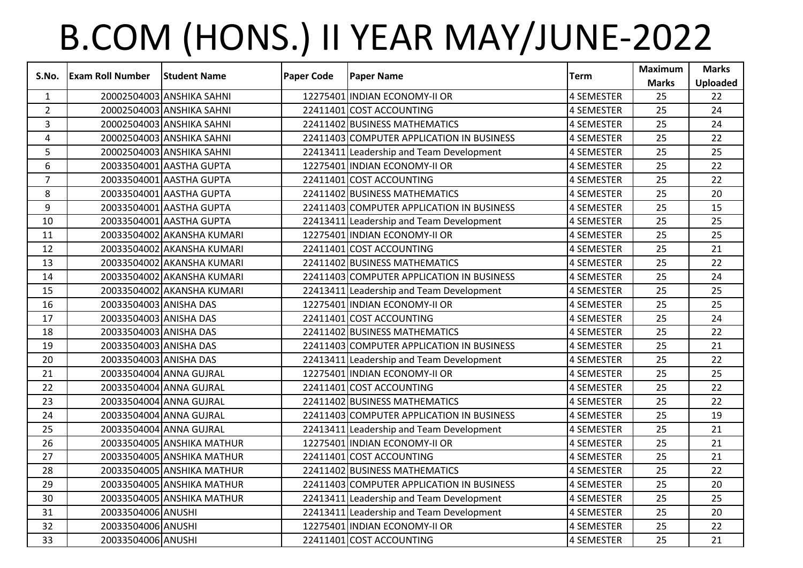## B.COM (HONS.) II YEAR MAY/JUNE-2022

|                | S.No. Exam Roll Number | <b>Student Name</b>        | <b>Paper Code</b> | <b>Paper Name</b>                         | <b>Term</b>       | <b>Maximum</b><br><b>Marks</b> | <b>Marks</b><br><b>Uploaded</b> |
|----------------|------------------------|----------------------------|-------------------|-------------------------------------------|-------------------|--------------------------------|---------------------------------|
| $\mathbf{1}$   |                        | 20002504003 ANSHIKA SAHNI  |                   | 12275401 INDIAN ECONOMY-II OR             | 4 SEMESTER        | 25                             | 22                              |
| $2^{\circ}$    |                        | 20002504003 ANSHIKA SAHNI  |                   | 22411401 COST ACCOUNTING                  | <b>4 SEMESTER</b> | 25                             | 24                              |
| $\overline{3}$ |                        | 20002504003 ANSHIKA SAHNI  |                   | 22411402 BUSINESS MATHEMATICS             | 4 SEMESTER        | 25                             | 24                              |
| 4              |                        | 20002504003 ANSHIKA SAHNI  |                   | 22411403 COMPUTER APPLICATION IN BUSINESS | <b>4 SEMESTER</b> | 25                             | 22                              |
| 5              |                        | 20002504003 ANSHIKA SAHNI  |                   | 22413411 Leadership and Team Development  | 4 SEMESTER        | 25                             | 25                              |
| 6              |                        | 20033504001 AASTHA GUPTA   |                   | 12275401 INDIAN ECONOMY-II OR             | <b>4 SEMESTER</b> | 25                             | 22                              |
| $\overline{7}$ |                        | 20033504001 AASTHA GUPTA   |                   | 22411401 COST ACCOUNTING                  | <b>4 SEMESTER</b> | 25                             | 22                              |
| 8              |                        | 20033504001 AASTHA GUPTA   |                   | 22411402 BUSINESS MATHEMATICS             | 4 SEMESTER        | 25                             | 20                              |
| 9              |                        | 20033504001 AASTHA GUPTA   |                   | 22411403 COMPUTER APPLICATION IN BUSINESS | 4 SEMESTER        | 25                             | 15                              |
| 10             |                        | 20033504001 AASTHA GUPTA   |                   | 22413411 Leadership and Team Development  | <b>4 SEMESTER</b> | 25                             | 25                              |
| 11             |                        | 20033504002 AKANSHA KUMARI |                   | 12275401 INDIAN ECONOMY-II OR             | 4 SEMESTER        | 25                             | 25                              |
| 12             |                        | 20033504002 AKANSHA KUMARI |                   | 22411401 COST ACCOUNTING                  | <b>4 SEMESTER</b> | 25                             | 21                              |
| 13             |                        | 20033504002 AKANSHA KUMARI |                   | 22411402 BUSINESS MATHEMATICS             | 4 SEMESTER        | 25                             | 22                              |
| 14             |                        | 20033504002 AKANSHA KUMARI |                   | 22411403 COMPUTER APPLICATION IN BUSINESS | <b>4 SEMESTER</b> | 25                             | 24                              |
| 15             |                        | 20033504002 AKANSHA KUMARI |                   | 22413411 Leadership and Team Development  | 4 SEMESTER        | 25                             | 25                              |
| 16             | 20033504003 ANISHA DAS |                            |                   | 12275401 INDIAN ECONOMY-II OR             | 4 SEMESTER        | 25                             | 25                              |
| 17             | 20033504003 ANISHA DAS |                            |                   | 22411401 COST ACCOUNTING                  | <b>4 SEMESTER</b> | 25                             | 24                              |
| 18             | 20033504003 ANISHA DAS |                            |                   | 22411402 BUSINESS MATHEMATICS             | 4 SEMESTER        | 25                             | 22                              |
| 19             | 20033504003 ANISHA DAS |                            |                   | 22411403 COMPUTER APPLICATION IN BUSINESS | 4 SEMESTER        | 25                             | 21                              |
| 20             | 20033504003 ANISHA DAS |                            |                   | 22413411 Leadership and Team Development  | 4 SEMESTER        | 25                             | 22                              |
| 21             |                        | 20033504004 ANNA GUJRAL    |                   | 12275401 INDIAN ECONOMY-II OR             | 4 SEMESTER        | 25                             | 25                              |
| 22             |                        | 20033504004 ANNA GUJRAL    |                   | 22411401 COST ACCOUNTING                  | 4 SEMESTER        | 25                             | 22                              |
| 23             |                        | 20033504004 ANNA GUJRAL    |                   | 22411402 BUSINESS MATHEMATICS             | 4 SEMESTER        | 25                             | 22                              |
| 24             |                        | 20033504004 ANNA GUJRAL    |                   | 22411403 COMPUTER APPLICATION IN BUSINESS | <b>4 SEMESTER</b> | 25                             | 19                              |
| 25             |                        | 20033504004 ANNA GUJRAL    |                   | 22413411 Leadership and Team Development  | 4 SEMESTER        | 25                             | 21                              |
| 26             |                        | 20033504005 ANSHIKA MATHUR |                   | 12275401 INDIAN ECONOMY-II OR             | 4 SEMESTER        | 25                             | 21                              |
| 27             |                        | 20033504005 ANSHIKA MATHUR |                   | 22411401 COST ACCOUNTING                  | 4 SEMESTER        | 25                             | 21                              |
| 28             |                        | 20033504005 ANSHIKA MATHUR |                   | 22411402 BUSINESS MATHEMATICS             | 4 SEMESTER        | 25                             | 22                              |
| 29             |                        | 20033504005 ANSHIKA MATHUR |                   | 22411403 COMPUTER APPLICATION IN BUSINESS | 4 SEMESTER        | 25                             | 20                              |
| 30             |                        | 20033504005 ANSHIKA MATHUR |                   | 22413411 Leadership and Team Development  | 4 SEMESTER        | 25                             | 25                              |
| 31             | 20033504006 ANUSHI     |                            |                   | 22413411 Leadership and Team Development  | <b>4 SEMESTER</b> | 25                             | 20                              |
| 32             | 20033504006 ANUSHI     |                            |                   | 12275401 INDIAN ECONOMY-II OR             | 4 SEMESTER        | 25                             | 22                              |
| 33             | 20033504006 ANUSHI     |                            |                   | 22411401 COST ACCOUNTING                  | 4 SEMESTER        | 25                             | 21                              |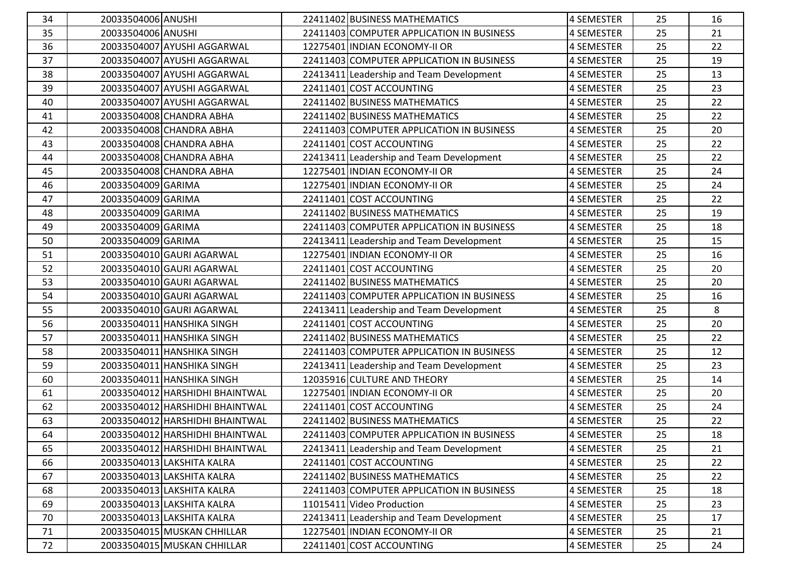| 34 | 20033504006 ANUSHI |                                 | 22411402 BUSINESS MATHEMATICS             | 4 SEMESTER        | 25 | 16 |
|----|--------------------|---------------------------------|-------------------------------------------|-------------------|----|----|
| 35 | 20033504006 ANUSHI |                                 | 22411403 COMPUTER APPLICATION IN BUSINESS | 4 SEMESTER        | 25 | 21 |
| 36 |                    | 20033504007 AYUSHI AGGARWAL     | 12275401 INDIAN ECONOMY-II OR             | 4 SEMESTER        | 25 | 22 |
| 37 |                    | 20033504007 AYUSHI AGGARWAL     | 22411403 COMPUTER APPLICATION IN BUSINESS | 4 SEMESTER        | 25 | 19 |
| 38 |                    | 20033504007 AYUSHI AGGARWAL     | 22413411 Leadership and Team Development  | 4 SEMESTER        | 25 | 13 |
| 39 |                    | 20033504007 AYUSHI AGGARWAL     | 22411401 COST ACCOUNTING                  | 4 SEMESTER        | 25 | 23 |
| 40 |                    | 20033504007 AYUSHI AGGARWAL     | 22411402 BUSINESS MATHEMATICS             | 4 SEMESTER        | 25 | 22 |
| 41 |                    | 20033504008 CHANDRA ABHA        | 22411402 BUSINESS MATHEMATICS             | 4 SEMESTER        | 25 | 22 |
| 42 |                    | 20033504008 CHANDRA ABHA        | 22411403 COMPUTER APPLICATION IN BUSINESS | 4 SEMESTER        | 25 | 20 |
| 43 |                    | 20033504008 CHANDRA ABHA        | 22411401 COST ACCOUNTING                  | <b>4 SEMESTER</b> | 25 | 22 |
| 44 |                    | 20033504008 CHANDRA ABHA        | 22413411 Leadership and Team Development  | 4 SEMESTER        | 25 | 22 |
| 45 |                    | 20033504008 CHANDRA ABHA        | 12275401 INDIAN ECONOMY-II OR             | 4 SEMESTER        | 25 | 24 |
| 46 | 20033504009 GARIMA |                                 | 12275401 INDIAN ECONOMY-II OR             | 4 SEMESTER        | 25 | 24 |
| 47 | 20033504009 GARIMA |                                 | 22411401 COST ACCOUNTING                  | 4 SEMESTER        | 25 | 22 |
| 48 | 20033504009 GARIMA |                                 | 22411402 BUSINESS MATHEMATICS             | 4 SEMESTER        | 25 | 19 |
| 49 | 20033504009 GARIMA |                                 | 22411403 COMPUTER APPLICATION IN BUSINESS | 4 SEMESTER        | 25 | 18 |
| 50 | 20033504009 GARIMA |                                 | 22413411 Leadership and Team Development  | 4 SEMESTER        | 25 | 15 |
| 51 |                    | 20033504010 GAURI AGARWAL       | 12275401 INDIAN ECONOMY-II OR             | 4 SEMESTER        | 25 | 16 |
| 52 |                    | 20033504010 GAURI AGARWAL       | 22411401 COST ACCOUNTING                  | 4 SEMESTER        | 25 | 20 |
| 53 |                    | 20033504010 GAURI AGARWAL       | 22411402 BUSINESS MATHEMATICS             | 4 SEMESTER        | 25 | 20 |
| 54 |                    | 20033504010 GAURI AGARWAL       | 22411403 COMPUTER APPLICATION IN BUSINESS | 4 SEMESTER        | 25 | 16 |
| 55 |                    | 20033504010 GAURI AGARWAL       | 22413411 Leadership and Team Development  | 4 SEMESTER        | 25 | 8  |
| 56 |                    | 20033504011 HANSHIKA SINGH      | 22411401 COST ACCOUNTING                  | 4 SEMESTER        | 25 | 20 |
| 57 |                    | 20033504011 HANSHIKA SINGH      | 22411402 BUSINESS MATHEMATICS             | 4 SEMESTER        | 25 | 22 |
| 58 |                    | 20033504011 HANSHIKA SINGH      | 22411403 COMPUTER APPLICATION IN BUSINESS | 4 SEMESTER        | 25 | 12 |
| 59 |                    | 20033504011 HANSHIKA SINGH      | 22413411 Leadership and Team Development  | 4 SEMESTER        | 25 | 23 |
| 60 |                    | 20033504011 HANSHIKA SINGH      | 12035916 CULTURE AND THEORY               | 4 SEMESTER        | 25 | 14 |
| 61 |                    | 20033504012 HARSHIDHI BHAINTWAL | 12275401 INDIAN ECONOMY-II OR             | 4 SEMESTER        | 25 | 20 |
| 62 |                    | 20033504012 HARSHIDHI BHAINTWAL | 22411401 COST ACCOUNTING                  | <b>4 SEMESTER</b> | 25 | 24 |
| 63 |                    | 20033504012 HARSHIDHI BHAINTWAL | 22411402 BUSINESS MATHEMATICS             | 4 SEMESTER        | 25 | 22 |
| 64 |                    | 20033504012 HARSHIDHI BHAINTWAL | 22411403 COMPUTER APPLICATION IN BUSINESS | 4 SEMESTER        | 25 | 18 |
| 65 |                    | 20033504012 HARSHIDHI BHAINTWAL | 22413411 Leadership and Team Development  | 4 SEMESTER        | 25 | 21 |
| 66 |                    | 20033504013 LAKSHITA KALRA      | 22411401 COST ACCOUNTING                  | 4 SEMESTER        | 25 | 22 |
| 67 |                    | 20033504013 LAKSHITA KALRA      | 22411402 BUSINESS MATHEMATICS             | 4 SEMESTER        | 25 | 22 |
| 68 |                    | 20033504013 LAKSHITA KALRA      | 22411403 COMPUTER APPLICATION IN BUSINESS | 4 SEMESTER        | 25 | 18 |
| 69 |                    | 20033504013 LAKSHITA KALRA      | 11015411 Video Production                 | 4 SEMESTER        | 25 | 23 |
| 70 |                    | 20033504013 LAKSHITA KALRA      | 22413411 Leadership and Team Development  | 4 SEMESTER        | 25 | 17 |
| 71 |                    | 20033504015 MUSKAN CHHILLAR     | 12275401 INDIAN ECONOMY-II OR             | 4 SEMESTER        | 25 | 21 |
| 72 |                    | 20033504015 MUSKAN CHHILLAR     | 22411401 COST ACCOUNTING                  | 4 SEMESTER        | 25 | 24 |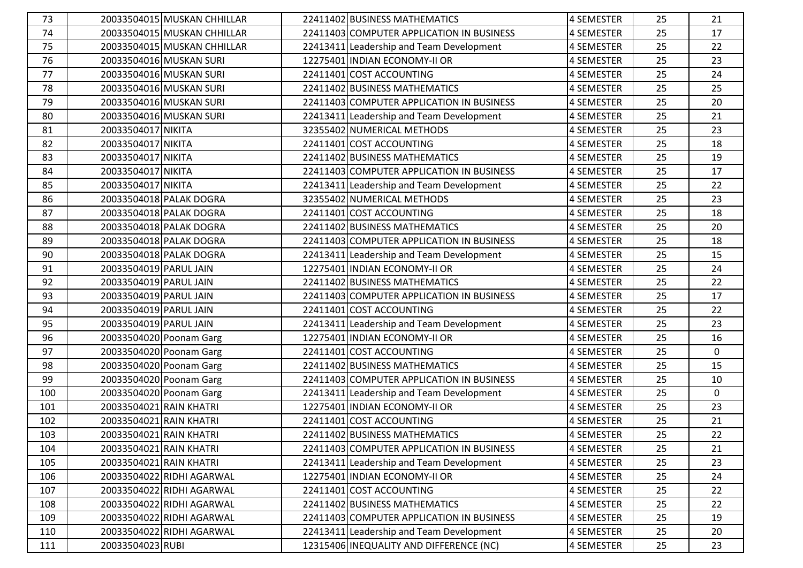| 73  |                         | 20033504015 MUSKAN CHHILLAR | 22411402 BUSINESS MATHEMATICS             | 4 SEMESTER        | 25 | 21           |
|-----|-------------------------|-----------------------------|-------------------------------------------|-------------------|----|--------------|
| 74  |                         | 20033504015 MUSKAN CHHILLAR | 22411403 COMPUTER APPLICATION IN BUSINESS | 4 SEMESTER        | 25 | 17           |
| 75  |                         | 20033504015 MUSKAN CHHILLAR | 22413411 Leadership and Team Development  | <b>4 SEMESTER</b> | 25 | 22           |
| 76  |                         | 20033504016 MUSKAN SURI     | 12275401 INDIAN ECONOMY-II OR             | 4 SEMESTER        | 25 | 23           |
| 77  |                         | 20033504016 MUSKAN SURI     | 22411401 COST ACCOUNTING                  | 4 SEMESTER        | 25 | 24           |
| 78  |                         | 20033504016 MUSKAN SURI     | 22411402 BUSINESS MATHEMATICS             | <b>4 SEMESTER</b> | 25 | 25           |
| 79  |                         | 20033504016 MUSKAN SURI     | 22411403 COMPUTER APPLICATION IN BUSINESS | 4 SEMESTER        | 25 | 20           |
| 80  |                         | 20033504016 MUSKAN SURI     | 22413411 Leadership and Team Development  | <b>4 SEMESTER</b> | 25 | 21           |
| 81  | 20033504017 NIKITA      |                             | 32355402 NUMERICAL METHODS                | 4 SEMESTER        | 25 | 23           |
| 82  | 20033504017 NIKITA      |                             | 22411401 COST ACCOUNTING                  | <b>4 SEMESTER</b> | 25 | 18           |
| 83  | 20033504017 NIKITA      |                             | 22411402 BUSINESS MATHEMATICS             | 4 SEMESTER        | 25 | 19           |
| 84  | 20033504017 NIKITA      |                             | 22411403 COMPUTER APPLICATION IN BUSINESS | 4 SEMESTER        | 25 | 17           |
| 85  | 20033504017 NIKITA      |                             | 22413411 Leadership and Team Development  | <b>4 SEMESTER</b> | 25 | 22           |
| 86  |                         | 20033504018 PALAK DOGRA     | 32355402 NUMERICAL METHODS                | <b>4 SEMESTER</b> | 25 | 23           |
| 87  |                         | 20033504018 PALAK DOGRA     | 22411401 COST ACCOUNTING                  | <b>4 SEMESTER</b> | 25 | 18           |
| 88  |                         | 20033504018 PALAK DOGRA     | 22411402 BUSINESS MATHEMATICS             | 4 SEMESTER        | 25 | 20           |
| 89  |                         | 20033504018 PALAK DOGRA     | 22411403 COMPUTER APPLICATION IN BUSINESS | <b>4 SEMESTER</b> | 25 | 18           |
| 90  |                         | 20033504018 PALAK DOGRA     | 22413411 Leadership and Team Development  | <b>4 SEMESTER</b> | 25 | 15           |
| 91  | 20033504019 PARUL JAIN  |                             | 12275401 INDIAN ECONOMY-II OR             | 4 SEMESTER        | 25 | 24           |
| 92  | 20033504019 PARUL JAIN  |                             | 22411402 BUSINESS MATHEMATICS             | 4 SEMESTER        | 25 | 22           |
| 93  | 20033504019 PARUL JAIN  |                             | 22411403 COMPUTER APPLICATION IN BUSINESS | <b>4 SEMESTER</b> | 25 | 17           |
| 94  | 20033504019 PARUL JAIN  |                             | 22411401 COST ACCOUNTING                  | <b>4 SEMESTER</b> | 25 | 22           |
| 95  | 20033504019 PARUL JAIN  |                             | 22413411 Leadership and Team Development  | 4 SEMESTER        | 25 | 23           |
| 96  |                         | 20033504020 Poonam Garg     | 12275401 INDIAN ECONOMY-II OR             | <b>4 SEMESTER</b> | 25 | 16           |
| 97  |                         | 20033504020 Poonam Garg     | 22411401 COST ACCOUNTING                  | <b>4 SEMESTER</b> | 25 | 0            |
| 98  |                         | 20033504020 Poonam Garg     | 22411402 BUSINESS MATHEMATICS             | 4 SEMESTER        | 25 | 15           |
| 99  |                         | 20033504020 Poonam Garg     | 22411403 COMPUTER APPLICATION IN BUSINESS | <b>4 SEMESTER</b> | 25 | 10           |
| 100 |                         | 20033504020 Poonam Garg     | 22413411 Leadership and Team Development  | 4 SEMESTER        | 25 | $\mathbf{0}$ |
| 101 | 20033504021 RAIN KHATRI |                             | 12275401 INDIAN ECONOMY-II OR             | <b>4 SEMESTER</b> | 25 | 23           |
| 102 | 20033504021 RAIN KHATRI |                             | 22411401 COST ACCOUNTING                  | 4 SEMESTER        | 25 | 21           |
| 103 | 20033504021 RAIN KHATRI |                             | 22411402 BUSINESS MATHEMATICS             | 4 SEMESTER        | 25 | 22           |
| 104 | 20033504021 RAIN KHATRI |                             | 22411403 COMPUTER APPLICATION IN BUSINESS | <b>4 SEMESTER</b> | 25 | 21           |
| 105 | 20033504021 RAIN KHATRI |                             | 22413411 Leadership and Team Development  | <b>4 SEMESTER</b> | 25 | 23           |
| 106 |                         | 20033504022 RIDHI AGARWAL   | 12275401 INDIAN ECONOMY-II OR             | 4 SEMESTER        | 25 | 24           |
| 107 |                         | 20033504022 RIDHI AGARWAL   | 22411401 COST ACCOUNTING                  | 4 SEMESTER        | 25 | 22           |
| 108 |                         | 20033504022 RIDHI AGARWAL   | 22411402 BUSINESS MATHEMATICS             | <b>4 SEMESTER</b> | 25 | 22           |
| 109 |                         | 20033504022 RIDHI AGARWAL   | 22411403 COMPUTER APPLICATION IN BUSINESS | 4 SEMESTER        | 25 | 19           |
| 110 |                         | 20033504022 RIDHI AGARWAL   | 22413411 Leadership and Team Development  | 4 SEMESTER        | 25 | 20           |
| 111 | 20033504023 RUBI        |                             | 12315406 INEQUALITY AND DIFFERENCE (NC)   | 4 SEMESTER        | 25 | 23           |